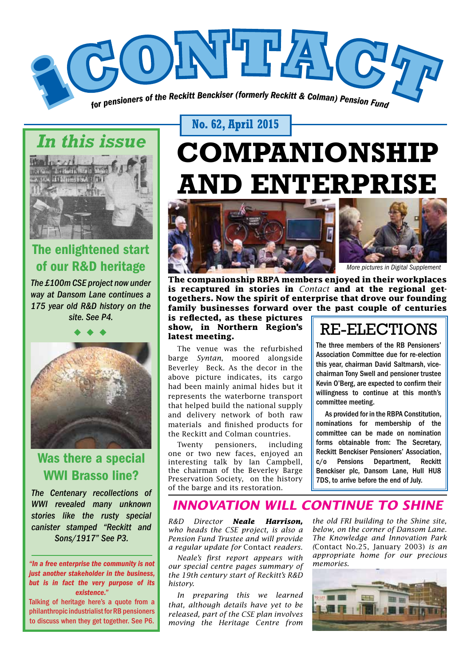

# *In this issue*



# The enlightened start of our R&D heritage

*The £100m CSE project now under way at Dansom Lane continues a 175 year old R&D history on the site. See P4.*



# Was there a special WWI Brasso line?

*The Centenary recollections of WWI revealed many unknown stories like the rusty special canister stamped "Reckitt and Sons/1917" See P3.*

*"In a free enterprise the community is not just another stakeholder in the business, but is in fact the very purpose of its existence."*

Talking of heritage here's a quote from a philanthropic industrialist for RB pensioners to discuss when they get together. See P6.

## **No. 62, April 2015**

# **COMPANIONSHIP AND ENTERPRISE**



**The companionship RBPA members enjoyed in their workplaces is recaptured in stories in** *Contact* **and at the regional gettogethers. Now the spirit of enterprise that drove our founding family businesses forward over the past couple of centuries** 

**is reflected, as these pictures show, in Northern Region's latest meeting.**

The venue was the refurbished barge *Syntan*, moored alongside Beverley Beck. As the decor in the above picture indicates, its cargo had been mainly animal hides but it represents the waterborne transport that helped build the national supply and delivery network of both raw materials and finished products for the Reckitt and Colman countries.

Twenty pensioners, including one or two new faces, enjoyed an interesting talk by Ian Campbell, the chairman of the Beverley Barge Preservation Society, on the history of the barge and its restoration.

# RE-ELECTIONS

The three members of the RB Pensioners' Association Committee due for re-election this year, chairman David Saltmarsh, vicechairman Tony Swell and pensioner trustee Kevin O'Berg, are expected to confirm their willingness to continue at this month's committee meeting.

As provided for in the RBPA Constitution, nominations for membership of the committee can be made on nomination forms obtainable from: The Secretary, Reckitt Benckiser Pensioners' Association, c/o Pensions Department, Reckitt Benckiser plc, Dansom Lane, Hull HU8 7DS, to arrive before the end of July.

# *INNOVATION WILL CONTINUE TO SHINE*

*R&D Director Neale Harrison, who heads the CSE project, is also a Pension Fund Trustee and will provide a regular update for* Contact *readers.*

*Neale's first report appears with our special centre pages summary of the 19th century start of Reckitt's R&D history.* 

*In preparing this we learned that, although details have yet to be released, part of the CSE plan involves moving the Heritage Centre from*  *the old FRI building to the Shine site, below, on the corner of Dansom Lane. The Knowledge and Innovation Park (*Contact No.25, January 2003) *is an appropriate home for our precious memories.*

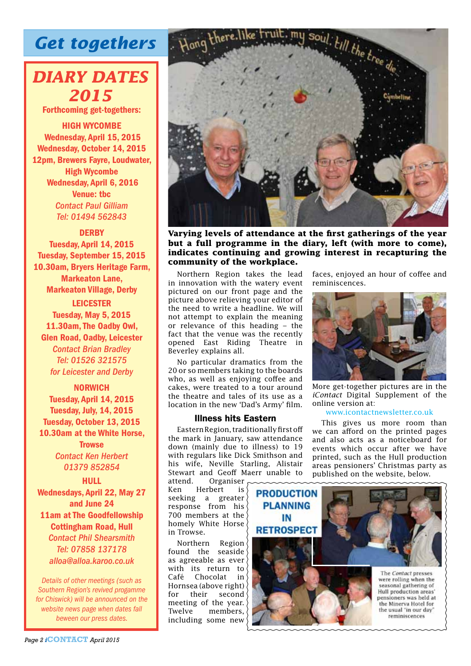# *Get togethers*

# *DIARY DATES 2015*

Forthcoming get-togethers:

HIGH WYCOMBE Wednesday, April 15, 2015 Wednesday, October 14, 2015 12pm, Brewers Fayre, Loudwater, High Wycombe Wednesday, April 6, 2016 Venue: tbc *Contact Paul Gilliam Tel: 01494 562843*

**DERBY** 

Tuesday, April 14, 2015 Tuesday, September 15, 2015 10.30am, Bryers Heritage Farm, Markeaton Lane, Markeaton Village, Derby

LEICESTER Tuesday, May 5, 2015 11.30am, The Oadby Owl, Glen Road, Oadby, Leicester *Contact Brian Bradley Tel: 01526 321575 for Leicester and Derby*

NORWICH Tuesday, April 14, 2015 Tuesday, July, 14, 2015 Tuesday, October 13, 2015 10.30am at the White Horse, **Trowse** *Contact Ken Herbert*

*01379 852854* **HULL** 

Wednesdays, April 22, May 27 and June 24 11am at The Goodfellowship Cottingham Road, Hull

*Contact Phil Shearsmith Tel: 07858 137178 alloa@alloa.karoo.co.uk*

*Details of other meetings (such as Southern Region's revived progamme for Chiswick) will be announced on the website news page when dates fall beween our press dates.*





**Varying levels of attendance at the first gatherings of the year but a full programme in the diary, left (with more to come), indicates continuing and growing interest in recapturing the community of the workplace.**

Northern Region takes the lead in innovation with the watery event pictured on our front page and the picture above relieving your editor of the need to write a headline. We will not attempt to explain the meaning or relevance of this heading – the fact that the venue was the recently opened East Riding Theatre in Beverley explains all.

No particular dramatics from the 20 or so members taking to the boards who, as well as enjoying coffee and cakes, were treated to a tour around the theatre and tales of its use as a location in the new 'Dad's Army' film.

#### Illness hits Eastern

Eastern Region, traditionally first off the mark in January, saw attendance down (mainly due to illness) to 19 with regulars like Dick Smithson and his wife, Neville Starling, Alistair Stewart and Geoff Maerr unable to<br>attend. Organiser

Organiser Ken Herbert is seeking a greater response from his 700 members at the homely White Horse in Trowse.

Northern Region found the seaside as agreeable as ever with its return to Café Chocolat in Hornsea (above right) for their second meeting of the year.<br>Twelve members. members. including some new

faces, enjoyed an hour of coffee and reminiscences.



More get-together pictures are in the *iContact* Digital Supplement of the online version at:

## www.icontactnewsletter.co.uk

This gives us more room than we can afford on the printed pages and also acts as a noticeboard for events which occur after we have printed, such as the Hull production areas pensioners' Christmas party as published on the website, below.

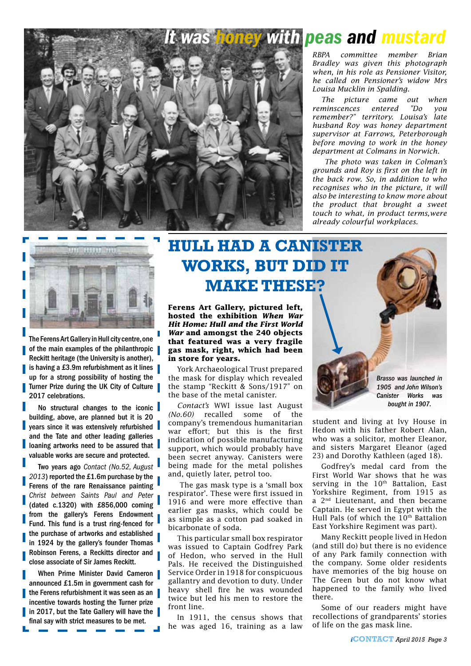

# *With peas and mustard*

*RBPA committee member Brian Bradley was given this photograph when, in his role as Pensioner Visitor, he called on Pensioner's widow Mrs Louisa Mucklin in Spalding.*

*The picture came out when reminscences entered "Do you remember?" territory. Louisa's late husband Roy was honey department supervisor at Farrows, Peterborough before moving to work in the honey department at Colmans in Norwich.*

 *The photo was taken in Colman's grounds and Roy is first on the left in the back row. So, in addition to who recognises who in the picture, it will also be interesting to know more about the product that brought a sweet touch to what, in product terms,were already colourful workplaces.*



The Ferens Art Gallery in Hull city centre, one of the main examples of the philanthropic Reckitt heritage (the University is another), is having a £3.9m refurbishment as it lines up for a strong possibility of hosting the Turner Prize during the UK City of Culture 2017 celebrations.

No structural changes to the iconic building, above, are planned but it is 20 years since it was extensively refurbished and the Tate and other leading galleries loaning artworks need to be assured that valuable works are secure and protected.

Two years ago *Contact (No.52, August 2013*) reported the £1.6m purchase by the Ferens of the rare Renaissance painting *Christ between Saints Paul and Peter*  (dated c.1320) with £856,000 coming from the gallery's Ferens Endowment Fund. This fund is a trust ring-fenced for the purchase of artworks and established in 1924 by the gallery's founder Thomas Robinson Ferens, a Reckitts director and close associate of Sir James Reckitt.

When Prime Minister David Cameron announced £1.5m in government cash for the Ferens refurbishment it was seen as an incentive towards hosting the Turner prize in 2017, but the Tate Gallery will have the final say with strict measures to be met.

# **HULL HAD A CANISTER WORKS, BUT DID IT MAKE THESE?**

**Ferens Art Gallery, pictured left, hosted the exhibition** *When War Hit Home: Hull and the First World War* **and amongst the 240 objects that featured was a very fragile gas mask, right, which had been in store for years.**

York Archaeological Trust prepared the mask for display which revealed the stamp "Reckitt & Sons/1917" on the base of the metal canister.

*Contact's* WWI issue last August *(No.60)* recalled some of the company's tremendous humanitarian war effort; but this is the first indication of possible manufacturing support, which would probably have been secret anyway. Canisters were being made for the metal polishes and, quietly later, petrol too.

 The gas mask type is a 'small box respirator'. These were first issued in 1916 and were more effective than earlier gas masks, which could be as simple as a cotton pad soaked in bicarbonate of soda.

This particular small box respirator was issued to Captain Godfrey Park of Hedon, who served in the Hull Pals. He received the Distinguished Service Order in 1918 for conspicuous gallantry and devotion to duty. Under heavy shell fire he was wounded twice but led his men to restore the front line.

In 1911, the census shows that he was aged 16, training as a law



student and living at Ivy House in Hedon with his father Robert Alan, who was a solicitor, mother Eleanor, and sisters Margaret Eleanor (aged 23) and Dorothy Kathleen (aged 18).

Godfrey's medal card from the First World War shows that he was serving in the  $10<sup>th</sup>$  Battalion, East Yorkshire Regiment, from 1915 as a 2<sup>nd</sup> Lieutenant, and then became Captain. He served in Egypt with the Hull Pals (of which the 10<sup>th</sup> Battalion East Yorkshire Regiment was part).

Many Reckitt people lived in Hedon (and still do) but there is no evidence of any Park family connection with the company. Some older residents have memories of the big house on The Green but do not know what happened to the family who lived there.

Some of our readers might have recollections of grandparents' stories of life on the gas mask line.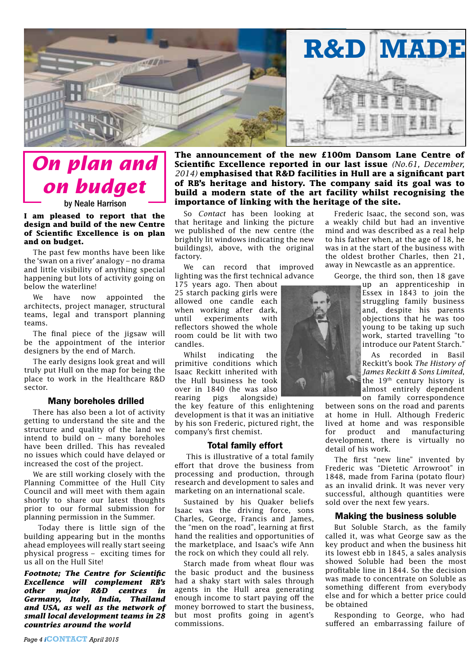

# *On plan and on budget*

## by Neale Harrison

#### **I am pleased to report that the design and build of the new Centre of Scientific Excellence is on plan and on budget.**

The past few months have been like the 'swan on a river' analogy – no drama and little visibility of anything special happening but lots of activity going on below the waterline!

We have now appointed the architects, project manager, structural teams, legal and transport planning teams.

The final piece of the jigsaw will be the appointment of the interior designers by the end of March.

The early designs look great and will truly put Hull on the map for being the place to work in the Healthcare R&D sector.

#### Many boreholes drilled

There has also been a lot of activity getting to understand the site and the structure and quality of the land we intend to build on – many boreholes have been drilled. This has revealed no issues which could have delayed or increased the cost of the project.

We are still working closely with the Planning Committee of the Hull City Council and will meet with them again shortly to share our latest thoughts prior to our formal submission for planning permission in the Summer.

 Today there is little sign of the building appearing but in the months ahead employees will really start seeing physical progress – exciting times for us all on the Hull Site!

*Footnote; The Centre for Scientific Excellence will complement RB's other major R&D centres in Germany, Italy, India, Thailand and USA, as well as the network of small local development teams in 28 countries around the world* 

**The announcement of the new £100m Dansom Lane Centre of Scientific Excellence reported in our last issue** *(No.61, December, 2014)* **emphasised that R&D facilities in Hull are a significant part of RB's heritage and history. The company said its goal was to build a modern state of the art facility whilst recognising the importance of linking with the heritage of the site.**

So *Contact* has been looking at that heritage and linking the picture we published of the new centre (the brightly lit windows indicating the new buildings), above, with the original factory.

We can record that improved lighting was the first technical advance

175 years ago. Then about 25 starch packing girls were allowed one candle each when working after dark. until experiments with reflectors showed the whole room could be lit with two candles.

Whilst indicating the primitive conditions which Isaac Reckitt inherited with the Hull business he took over in 1840 (he was also rearing pigs alongside)

the key feature of this enlightening development is that it was an initiative by his son Frederic, pictured right, the company's first chemist.

#### Total family effort

 This is illustrative of a total family effort that drove the business from processing and production, through research and development to sales and marketing on an international scale.

Sustained by his Quaker beliefs Isaac was the driving force, sons Charles, George, Francis and James, the "men on the road", learning at first hand the realities and opportunities of the marketplace, and Isaac's wife Ann the rock on which they could all rely.

Starch made from wheat flour was the basic product and the business had a shaky start with sales through agents in the Hull area generating enough income to start paying off the money borrowed to start the business, but most profits going in agent's commissions.

Frederic Isaac, the second son, was a weakly child but had an inventive mind and was described as a real help to his father when, at the age of 18, he was in at the start of the business with the oldest brother Charles, then 21, away in Newcastle as an apprentice.

George, the third son, then 18 gave

up an apprenticeship in Essex in 1843 to join the struggling family business and, despite his parents objections that he was too young to be taking up such work, started travelling "to introduce our Patent Starch."

As recorded in Basil Reckitt's book *The History of James Reckitt & Sons Limited*, the 19th century history is almost entirely dependent on family correspondence

between sons on the road and parents at home in Hull. Although Frederic lived at home and was responsible for product and manufacturing development, there is virtually no detail of his work.

The first "new line" invented by Frederic was "Dietetic Arrowroot" in 1848, made from Farina (potato flour) as an invalid drink. It was never very successful, although quantities were sold over the next few years.

#### Making the business soluble

But Soluble Starch, as the family called it, was what George saw as the key product and when the business hit its lowest ebb in 1845, a sales analysis showed Soluble had been the most profitable line in 1844. So the decision was made to concentrate on Soluble as something different from everybody else and for which a better price could be obtained

Responding to George, who had suffered an embarrassing failure of

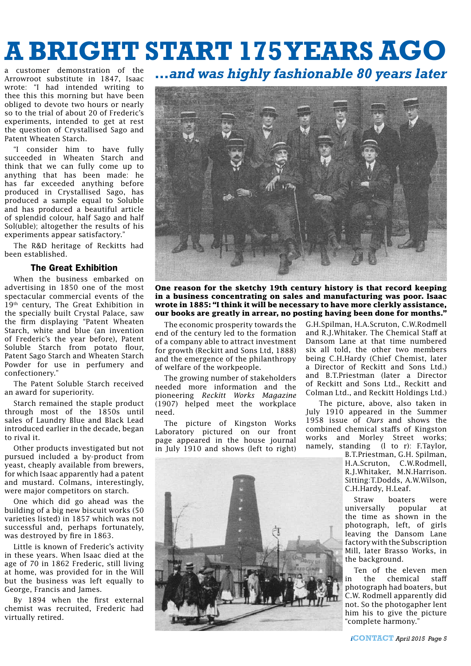# **A BRIGHT START 175 YEARS AGO**

a customer demonstration of the Arrowroot substitute in 1847, Isaac wrote: "I had intended writing to thee this this morning but have been obliged to devote two hours or nearly so to the trial of about 20 of Frederic's experiments, intended to get at rest the question of Crystallised Sago and Patent Wheaten Starch.

"I consider him to have fully succeeded in Wheaten Starch and think that we can fully come up to anything that has been made: he has far exceeded anything before produced in Crystallised Sago, has produced a sample equal to Soluble and has produced a beautiful article of splendid colour, half Sago and half Sol(uble); altogether the results of his experiments appear satisfactory."

The R&D heritage of Reckitts had been established.

## The Great Exhibition

When the business embarked on advertising in 1850 one of the most spectacular commercial events of the 19<sup>th</sup> century, The Great Exhibition in the specially built Crystal Palace, saw the firm displaying "Patent Wheaten Starch, white and blue (an invention of Frederic's the year before), Patent Soluble Starch from potato flour, Patent Sago Starch and Wheaten Starch Powder for use in perfumery and confectionery."

The Patent Soluble Starch received an award for superiority.

Starch remained the staple product through most of the 1850s until sales of Laundry Blue and Black Lead introduced earlier in the decade, began to rival it.

Other products investigated but not pursued included a by-product from yeast, cheaply available from brewers, for which Isaac apparently had a patent and mustard. Colmans, interestingly, were major competitors on starch.

One which did go ahead was the building of a big new biscuit works (50 varieties listed) in 1857 which was not successful and, perhaps fortunately, was destroyed by fire in 1863.

Little is known of Frederic's activity in these years. When Isaac died at the age of 70 in 1862 Frederic, still living at home, was provided for in the Will but the business was left equally to George, Francis and James.

By 1894 when the first external chemist was recruited, Frederic had virtually retired.

## *…and was highly fashionable 80 years later*



**One reason for the sketchy 19th century history is that record keeping in a business concentrating on sales and manufacturing was poor. Isaac wrote in 1885: "I think it will be necessary to have more clerkly assistance, our books are greatly in arrear, no posting having been done for months."** 

The economic prosperity towards the end of the century led to the formation of a company able to attract investment for growth (Reckitt and Sons Ltd, 1888) and the emergence of the philanthropy of welfare of the workpeople.

The growing number of stakeholders needed more information and the pioneering *Reckitt Works Magazine* (1907) helped meet the workplace need.

The picture of Kingston Works Laboratory pictured on our front page appeared in the house journal in July 1910 and shows (left to right)



G.H.Spilman, H.A.Scruton, C.W.Rodmell and R.J.Whitaker. The Chemical Staff at Dansom Lane at that time numbered six all told, the other two members being C.H.Hardy (Chief Chemist, later a Director of Reckitt and Sons Ltd.) and B.T.Priestman (later a Director of Reckitt and Sons Ltd., Reckitt and Colman Ltd., and Reckitt Holdings Ltd.)

 The picture, above, also taken in July 1910 appeared in the Summer 1958 issue of *Ours* and shows the combined chemical staffs of Kingston works and Morley Street works; namely, standing (l to r): F.Taylor,

B.T.Priestman, G.H. Spilman, H.A.Scruton, C.W.Rodmell, R.J.Whitaker, M.N.Harrison. Sitting:T.Dodds, A.W.Wilson, C.H.Hardy, H.Leaf.

Straw boaters were universally popular at the time as shown in the photograph, left, of girls leaving the Dansom Lane factory with the Subscription Mill, later Brasso Works, in the background.

Ten of the eleven men in the chemical staff photograph had boaters, but C.W. Rodmell apparently did not. So the photogapher lent him his to give the picture "complete harmony."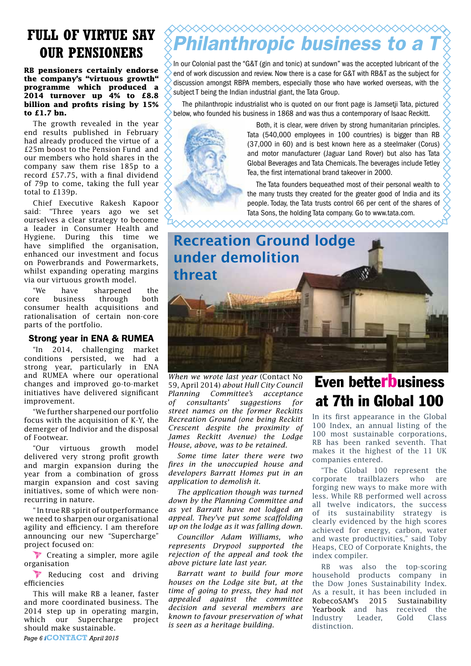# **FULL OF VIRTUE SAY**

**RB pensioners certainly endorse the company's "virtuous growth" programme which produced a 2014 turnover up 4% to £8.8 billion and profits rising by 15% to £1.7 bn.**

The growth revealed in the year end results published in February had already produced the virtue of a £25m boost to the Pension Fund and our members who hold shares in the company saw them rise 185p to a record £57.75, with a final dividend of 79p to come, taking the full year total to £139p.

Chief Executive Rakesh Kapoor said: "Three years ago we set ourselves a clear strategy to become a leader in Consumer Health and Hygiene. During this time we have simplified the organisation, enhanced our investment and focus on Powerbrands and Powermarkets, whilst expanding operating margins via our virtuous growth model.

"We have sharpened the core business through both consumer health acquisitions and rationalisation of certain non-core parts of the portfolio.

## Strong year in ENA & RUMEA

"In 2014, challenging market conditions persisted, we had a strong year, particularly in ENA and RUMEA where our operational changes and improved go-to-market initiatives have delivered significant improvement.

"We further sharpened our portfolio focus with the acquisition of K-Y, the demerger of Indivior and the disposal of Footwear.

"Our virtuous growth model delivered very strong profit growth and margin expansion during the year from a combination of gross margin expansion and cost saving initiatives, some of which were nonrecurring in nature.

" In true RB spirit of outperformance we need to sharpen our organisational agility and efficiency. I am therefore announcing our new "Supercharge" project focused on:

 $\mathbf{V}$  Creating a simpler, more agile organisation

**Z.** Reducing cost and driving efficiencies

This will make RB a leaner, faster and more coordinated business. The 2014 step up in operating margin, which our Supercharge project should make sustainable.

# ◇◇◇◇◇◇◇◇◇◇◇◇◇◇◇◇◇◇◇◇◇◇◇◇◇◇ **OUR PENSIONERS** *Philanthropic business to a*

In our Colonial past the "G&T (gin and tonic) at sundown" was the accepted lubricant of the end of work discussion and review. Now there is a case for G&T with RB&T as the subject for discussion amongst RBPA members, especially those who have worked overseas, with the subject T being the Indian industrial giant, the Tata Group.

The philanthropic industrialist who is quoted on our front page is Jamsetji Tata, pictured below, who founded his business in 1868 and was thus a contemporary of Isaac Reckitt.



Both, it is clear, were driven by strong humanitarian principles. Tata (540,000 employees in 100 countries) is bigger than RB (37,000 in 60) and is best known here as a steelmaker (Corus) and motor manufacturer (Jaguar Land Rover) but also has Tata Global Beverages and Tata Chemicals. The beverages include Tetley Tea, the first international brand takeover in 2000.

The Tata founders bequeathed most of their personal wealth to the many trusts they created for the greater good of India and its people. Today, the Tata trusts control 66 per cent of the shares of Tata Sons, the holding Tata company. Go to www.tata.com.



XXXXXXXXXXXXXXXXXXXXXXXXXX

*When we wrote last year* (Contact No 59, April 2014) *about Hull City Council Planning Committee's acceptance of consultants' suggestions for street names on the former Reckitts Recreation Ground (one being Reckitt Crescent despite the proximity of James Reckitt Avenue) the Lodge House, above, was to be retained.*

*Some time later there were two fires in the unoccupied house and developers Barratt Homes put in an application to demolish it.* 

*The application though was turned down by the Planning Committee and as yet Barratt have not lodged an appeal. They've put some scaffolding up on the lodge as it was falling down.*

*Councillor Adam Williams, who represents Drypool supported the rejection of the appeal and took the above picture late last year.*

*Barratt want to build four more houses on the Lodge site but, at the time of going to press, they had not appealed against the committee decision and several members are known to favour preservation of what is seen as a heritage building.*

# Even betterbusiness at 7th in Global 100

In its first appearance in the Global 100 Index, an annual listing of the 100 most sustainable corporations, RB has been ranked seventh. That makes it the highest of the 11 UK companies entered.

"The Global 100 represent the corporate trailblazers who are forging new ways to make more with less. While RB performed well across all twelve indicators, the success of its sustainability strategy is clearly evidenced by the high scores achieved for energy, carbon, water and waste productivities," said Toby Heaps, CEO of Corporate Knights, the index compiler.

RB was also the top-scoring household products company in the Dow Jones Sustainability Index. As a result, it has been included in RobecoSAM's 2015 Sustainability Yearbook and has received the<br>Industry Leader, Gold Class **Industry** distinction.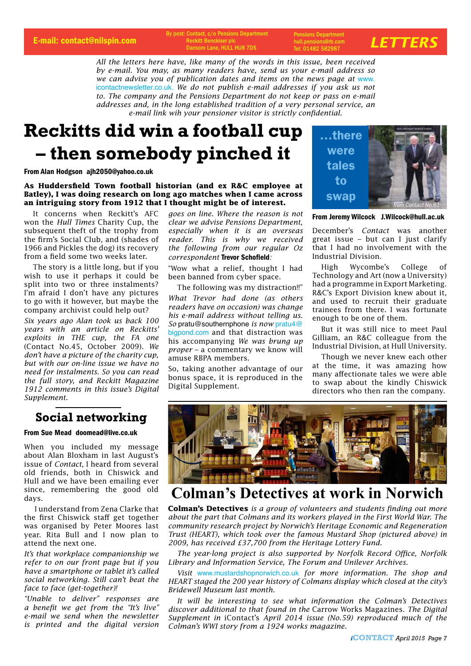E-mail: contact@nilspin.com *Reckitt Benckiser plc* **and** *Reckitt Benckiser* **plc and** *bulliparison* **<b>***LETTERS* By post: Contact, c/o Pensions Department **Reckitt Benckis** Dansom Lane, HULL HU8 7DS

Pensions Department hull.pensions@rb.com Tel: 01482 582987

*All the letters here have, like many of the words in this issue, been received by e-mail. You may, as many readers have, send us your e-mail address so we can advise you of publication dates and items on the news page at* www. icontactnewsletter.co.uk. *We do not publish e-mail addresses if you ask us not to. The company and the Pensions Department do not keep or pass on e-mail addresses and, in the long established tradition of a very personal service, an e-mail link wih your pensioner visitor is strictly confidential.*

# **Reckitts did win a football cup – then somebody pinched it**

From Alan Hodgson ajh2050@yahoo.co.uk

#### **As Huddersfield Town football historian (and ex R&C employee at Batley), I was doing research on long ago matches when I came across an intriguing story from 1912 that I thought might be of interest.**

It concerns when Reckitt's AFC won the *Hull Times* Charity Cup, the subsequent theft of the trophy from the firm's Social Club, and (shades of 1966 and Pickles the dog) its recovery from a field some two weeks later.

The story is a little long, but if you wish to use it perhaps it could be split into two or three instalments? I'm afraid I don't have any pictures to go with it however, but maybe the company archivist could help out?

*Six years ago Alan took us back 100 years with an article on Reckitts' exploits in THE cup, the FA one* (Contact No.45, October 2009). *We don't have a picture of the charity cup, but with our on-line issue we have no need for instalments. So you can read the full story, and Reckitt Magazine 1912 comments in this issue's Digital Supplement.*

## **Social networking**

#### From Sue Mead doomead@live.co.uk

When you included my message about Alan Bloxham in last August's issue of *Contact*, I heard from several old friends, both in Chiswick and Hull and we have been emailing ever since, remembering the good old days.

 I understand from Zena Clarke that the first Chiswick staff get together was organised by Peter Moores last year. Rita Bull and I now plan to attend the next one.

*It's that workplace companionship we refer to on our front page but if you have a smartphone or tablet it's called social networking. Still can't beat the face to face (get-together)!*

*"Unable to deliver" responses are a benefit we get from the "It's live" e-mail we send when the newsletter is printed and the digital version*  *goes on line. Where the reason is not clear we advise Pensions Department, especially when it is an overseas reader. This is why we received the following from our regular Oz correspondent* Trevor Schofield*:*

"Wow what a relief, thought I had been banned from cyber space.

The following was my distraction!!"

*What Trevor had done (as others readers have on occasion) was change his e-mail address without telling us. So* pratu@southernphone *is now* pratu4@ bigpond.com and that distraction was his accompanying *We was brung up proper –* a commentary we know will amuse RBPA members.

So, taking another advantage of our bonus space, it is reproduced in the Digital Supplement.



From Jeremy Wilcock J.Wilcock@hull.ac.uk

December's *Contact* was another great issue – but can I just clarify that I had no involvement with the Industrial Division.

High Wycombe's College of Technology and Art (now a University) had a programme in Export Marketing. R&C's Export Division knew about it, and used to recruit their graduate trainees from there. I was fortunate enough to be one of them.

But it was still nice to meet Paul Gilliam, an R&C colleague from the Industrial Division, at Hull University.

Though we never knew each other at the time, it was amazing how many affectionate tales we were able to swap about the kindly Chiswick directors who then ran the company.



## **Colman's Detectives at work in Norwich**

**Colman's Detectives** *is a group of volunteers and students finding out more about the part that Colmans and its workers played in the First World War. The community research project by Norwich's Heritage Economic and Regeneration Trust (HEART), which took over the famous Mustard Shop (pictured above) in 2009, has received £37,700 from the Heritage Lottery Fund.* 

*The year-long project is also supported by Norfolk Record Office, Norfolk Library and Information Service, The Forum and Unilever Archives.*

*Visit* www.mustardshopnorwich.co.uk *for more information. The shop and HEART staged the 200 year history of Colmans display which closed at the city's Bridewell Museum last month.* 

*It will be interesting to see what information the Colman's Detectives discover additional to that found in the* Carrow Works Magazines. *The Digital Supplement in* iContact's *April 2014 issue (No.59) reproduced much of the Colman's WWI story from a 1924 works magazine.*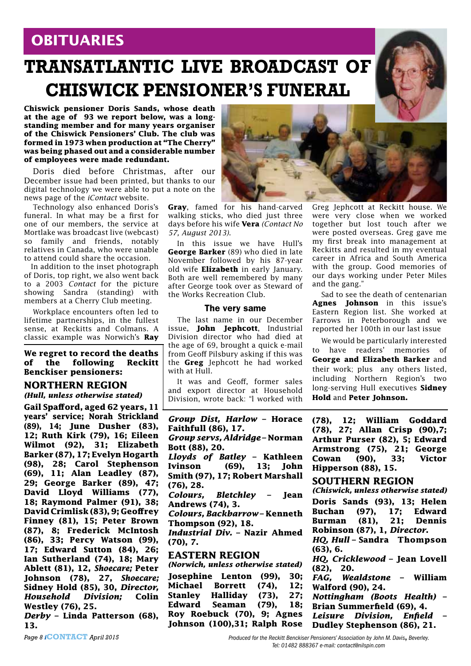# **OBITUARIES**

# **TRANSATLANTIC LIVE BROADCAST OF CHISWICK PENSIONER'S FUNERAL**

**Chiswick pensioner Doris Sands, whose death at the age of 93 we report below, was a longstanding member and for many years organiser of the Chiswick Pensioners' Club. The club was formed in 1973 when production at "The Cherry" was being phased out and a considerable number of employees were made redundant.**

Doris died before Christmas, after our December issue had been printed, but thanks to our digital technology we were able to put a note on the news page of the *iContact* website.

Technology also enhanced Doris's funeral. In what may be a first for one of our members, the service at Mortlake was broadcast live (webcast) so family and friends, notably relatives in Canada, who were unable to attend could share the occasion.

 In addition to the inset photograph of Doris, top right, we also went back to a 2003 *Contact* for the picture showing Sandra (standing) with members at a Cherry Club meeting.

Workplace encounters often led to lifetime partnerships, in the fullest sense, at Reckitts and Colmans. A classic example was Norwich's **Ray** 

**We regret to record the deaths of the following Reckitt Benckiser pensioners:**

## **NORTHERN REGION**

*(Hull, unless otherwise stated)*

**Gail Spafford, aged 62 years, 11 years' service; Norah Strickland (89), 14; June Dusher (83), 12; Ruth Kirk (79), 16; Eileen Wilmot (92), 31; Elizabeth Barker (87), 17; Evelyn Hogarth (98), 28; Carol Stephenson (69), 11; Alan Leadley (87), 29; George Barker (89), 47; David Lloyd Williams (77), 18; Raymond Palmer (91), 38; David Crimlisk (83), 9; Geoffrey Finney (81), 15; Peter Brown (87), 8; Frederick McIntosh (86), 33; Percy Watson (99), 17; Edward Sutton (84), 26; Ian Sutherland (74), 18; Mary Ablett (81), 12,** *Shoecare;* **Peter Johnson (78), 27,** *Shoecare;* **Sidney Hold (85), 30,** *Director, Household Division;* **Colin Westley (76), 25.**  *Derby* **– Linda Patterson (68),** 

**13.**



**Gray**, famed for his hand-carved walking sticks, who died just three days before his wife **Vera** *(Contact No 57, August 2013)*.

In this issue we have Hull's **George Barker** (89) who died in late November followed by his 87-year old wife **Elizabeth** in early January. Both are well remembered by many after George took over as Steward of the Works Recreation Club.

#### The very same

The last name in our December issue, **John Jephcott**, Industrial Division director who had died at the age of 69, brought a quick e-mail from Geoff Pilsbury asking if this was the **Greg** Jephcott he had worked with at Hull.

It was and Geoff, former sales and export director at Household Division, wrote back: "l worked with

*Group Dist, Harlow* **– Horace Faithfull (86), 17.** *Group servs, Aldridge –* **Norman Bott (88), 20.** *Lloyds of Batley* **– Kathleen Ivinson (69), 13; John Smith (97), 17; Robert Marshall (76), 28.** *Colours, Bletchley* **– Jean Andrews (74), 3.**  *Colours, Backbarrow* **– Kenneth Thompson (92), 18.** *Industrial Div.* **– Nazir Ahmed (70), 7. EASTERN REGION** *(Norwich, unless otherwise stated)* **Josephine Lenton (99), 30; Michael Borrett (74), 12; Stanley Halliday (73), 27; Edward Seaman (79), 18;** 

**Roy Roebuck (70), 9; Agnes Johnson (100),31; Ralph Rose**  Greg Jephcott at Reckitt house. We were very close when we worked together but lost touch after we were posted overseas. Greg gave me my first break into management at Reckitts and resulted in my eventual career in Africa and South America with the group. Good memories of our days working under Peter Miles and the gang."

Sad to see the death of centenarian **Agnes Johnson** in this issue's Eastern Region list. She worked at Farrows in Peterborough and we reported her 100th in our last issue

We would be particularly interested to have readers' memories of **George and Elizabeth Barker** and their work; plus any others listed, including Northern Region's two long-serving Hull executives **Sidney Hold** and **Peter Johnson.**

**(78), 12; William Goddard (78), 27; Allan Crisp (90),7; Arthur Purser (82), 5; Edward Armstrong (75), 21; George Cowan (90), 33; Victor Hipperson (88), 15.**

### **SOUTHERN REGION**

*(Chiswick, unless otherwise stated)* **Doris Sands (93), 13; Helen Buchan (97), 17; Edward Burman (81), 21; Dennis Robinson (87), 1,** *Director***.**

*HQ, Hull* **– Sandra Thompson (63), 6.**

*HQ, Cricklewood* **– Jean Lovell (82), 20.**

*FAG, Wealdstone* **– William Walford (90), 24.**

*Nottingham (Boots Health)* **– Brian Summerfield (69), 4.**

*Leisure Division, Enfield* **– Dudley Stephenson (86), 21.**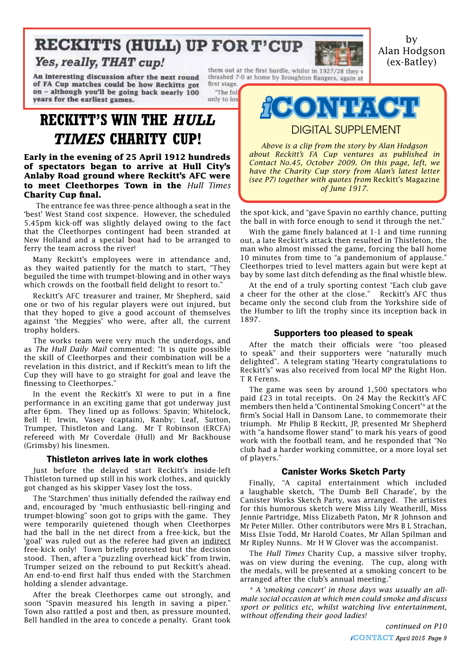# **RECKITTS (HULL) UP FOR T'CUP**

## Yes, really, THAT cup!

An interesting discussion after the next round of FA Cup matches could be how Reckitts got on - although you'll be going back nearly 100 years for the earliest games.

first stage.

"The foll

only to los



them out at the first hurdle, whilst in 1927/28 they y thrashed 7-0 at home by Broughton Rangers, again at



DIGITAL SUPPLEMENT

*Above is a clip from the story by Alan Hodgson about Reckitt's FA Cup ventures as published in Contact No.45, October 2009. On this page, left, we have the Charity Cup story from Alan's latest letter (see P7) together with quotes from* Reckitt's Magazine *of June 1917.*

the spot-kick, and "gave Spavin no earthly chance, putting the ball in with force enough to send it through the net."

With the game finely balanced at 1-1 and time running out, a late Reckitt's attack then resulted in Thistleton, the man who almost missed the game, forcing the ball home 10 minutes from time to "a pandemonium of applause." Cleethorpes tried to level matters again but were kept at bay by some last ditch defending as the final whistle blew.

At the end of a truly sporting contest "Each club gave a cheer for the other at the close." Reckitt's AFC thus became only the second club from the Yorkshire side of the Humber to lift the trophy since its inception back in 1897.

#### Supporters too pleased to speak

After the match their officials were "too pleased to speak" and their supporters were "naturally much delighted". A telegram stating "Hearty congratulations to Reckitt's" was also received from local MP the Right Hon. T R Ferens.

The game was seen by around 1,500 spectators who paid £23 in total receipts. On 24 May the Reckitt's AFC members then held a 'Continental Smoking Concert'\* at the firm's Social Hall in Dansom Lane, to commemorate their triumph. Mr Philip B Reckitt, JP, presented Mr Shepherd with "a handsome flower stand" to mark his years of good work with the football team, and he responded that "No club had a harder working committee, or a more loyal set of players."

#### Canister Works Sketch Party

Finally, "A capital entertainment which included a laughable sketch, 'The Dumb Bell Charade', by the Canister Works Sketch Party, was arranged. The artistes for this humorous sketch were Miss Lily Weatherill, Miss Jennie Partridge, Miss Elizabeth Paton, Mr R Johnson and Mr Peter Miller. Other contributors were Mrs B L Strachan, Miss Elsie Todd, Mr Harold Coates, Mr Allan Spilman and Mr Ripley Nunns. Mr H W Glover was the accompanist.

The *Hull Times* Charity Cup, a massive silver trophy, was on view during the evening. The cup, along with the medals, will be presented at a smoking concert to be arranged after the club's annual meeting."

*\* A 'smoking concert' in those days was usually an allmale social occasion at which men could smoke and discuss sport or politics etc, whilst watching live entertainment, without offending their good ladies!*

 The entrance fee was three-pence although a seat in the **of spectators began to arrive at Hull City's Anlaby Road ground where Reckitt's AFC were to meet Cleethorpes Town in the** *Hull Times*  **Charity Cup final.**

**RECKITT'S WIN THE** *HULL* 

*TIMES* **CHARITY CUP!**

**Early in the evening of 25 April 1912 hundreds** 

'best' West Stand cost sixpence. However, the scheduled 5.45pm kick-off was slightly delayed owing to the fact that the Cleethorpes contingent had been stranded at New Holland and a special boat had to be arranged to ferry the team across the river!

Many Reckitt's employees were in attendance and, as they waited patiently for the match to start, "They beguiled the time with trumpet-blowing and in other ways which crowds on the football field delight to resort to."

Reckitt's AFC treasurer and trainer, Mr Shepherd, said one or two of his regular players were out injured, but that they hoped to give a good account of themselves against 'the Meggies' who were, after all, the current trophy holders.

The works team were very much the underdogs, and as *The Hull Daily Mail* commented: "It is quite possible the skill of Cleethorpes and their combination will be a revelation in this district, and if Reckitt's mean to lift the Cup they will have to go straight for goal and leave the finessing to Cleethorpes."

In the event the Reckitt's XI were to put in a fine performance in an exciting game that got underway just after 6pm. They lined up as follows: Spavin; Whitelock, Bell H; Irwin, Vasey (captain), Ranby; Leaf, Sutton, Trumper, Thistleton and Lang. Mr T Robinson (ERCFA) refereed with Mr Coverdale (Hull) and Mr Backhouse (Grimsby) his linesmen.

#### Thistleton arrives late in work clothes

Just before the delayed start Reckitt's inside-left Thistleton turned up still in his work clothes, and quickly got changed as his skipper Vasey lost the toss.

The 'Starchmen' thus initially defended the railway end and, encouraged by "much enthusiastic bell-ringing and trumpet-blowing" soon got to grips with the game. They were temporarily quietened though when Cleethorpes had the ball in the net direct from a free-kick, but the 'goal' was ruled out as the referee had given an indirect free-kick only! Town briefly protested but the decision stood. Then, after a "puzzling overhead kick" from Irwin, Trumper seized on the rebound to put Reckitt's ahead. An end-to-end first half thus ended with the Starchmen holding a slender advantage.

After the break Cleethorpes came out strongly, and soon "Spavin measured his length in saving a piper." Town also rattled a post and then, as pressure mounted, Bell handled in the area to concede a penalty. Grant took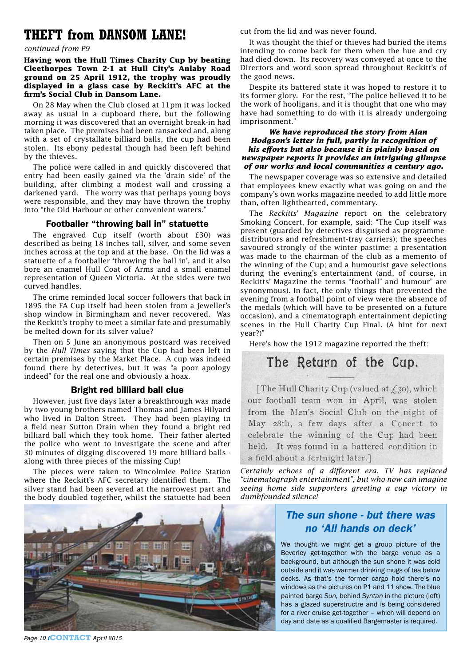# **THEFT from DANSOM LANE!**

### *continued from P9*

#### **Having won the Hull Times Charity Cup by beating Cleethorpes Town 2-1 at Hull City's Anlaby Road ground on 25 April 1912, the trophy was proudly displayed in a glass case by Reckitt's AFC at the firm's Social Club in Dansom Lane.**

On 28 May when the Club closed at 11pm it was locked away as usual in a cupboard there, but the following morning it was discovered that an overnight break-in had taken place. The premises had been ransacked and, along with a set of crystallate billiard balls, the cup had been stolen. Its ebony pedestal though had been left behind by the thieves.

The police were called in and quickly discovered that entry had been easily gained via the 'drain side' of the building, after climbing a modest wall and crossing a darkened yard. The worry was that perhaps young boys were responsible, and they may have thrown the trophy into "the Old Harbour or other convenient waters."

#### Footballer "throwing ball in" statuette

The engraved Cup itself (worth about £30) was described as being 18 inches tall, silver, and some seven inches across at the top and at the base. On the lid was a statuette of a footballer 'throwing the ball in', and it also bore an enamel Hull Coat of Arms and a small enamel representation of Queen Victoria. At the sides were two curved handles.

The crime reminded local soccer followers that back in 1895 the FA Cup itself had been stolen from a jeweller's shop window in Birmingham and never recovered. Was the Reckitt's trophy to meet a similar fate and presumably be melted down for its silver value?

Then on 5 June an anonymous postcard was received by the *Hull Times* saying that the Cup had been left in certain premises by the Market Place. A cup was indeed found there by detectives, but it was "a poor apology indeed" for the real one and obviously a hoax.

#### Bright red billiard ball clue

However, just five days later a breakthrough was made by two young brothers named Thomas and James Hilyard who lived in Dalton Street. They had been playing in a field near Sutton Drain when they found a bright red billiard ball which they took home. Their father alerted the police who went to investigate the scene and after 30 minutes of digging discovered 19 more billiard balls along with three pieces of the missing Cup!

The pieces were taken to Wincolmlee Police Station where the Reckitt's AFC secretary identified them. The silver stand had been severed at the narrowest part and the body doubled together, whilst the statuette had been



*Page 10 i***CONTACT** *April 2015*

cut from the lid and was never found.

It was thought the thief or thieves had buried the items intending to come back for them when the hue and cry had died down. Its recovery was conveyed at once to the Directors and word soon spread throughout Reckitt's of the good news.

Despite its battered state it was hoped to restore it to its former glory. For the rest, "The police believed it to be the work of hooligans, and it is thought that one who may have had something to do with it is already undergoing imprisonment."

#### *We have reproduced the story from Alan Hodgson's letter in full, partly in recognition of his efforts but also because it is plainly based on newspaper reports it provides an intriguing glimpse of our works and local communities a century ago.*

The newspaper coverage was so extensive and detailed that employees knew exactly what was going on and the company's own works magazine needed to add little more than, often lighthearted, commentary.

The *Reckitts' Magazine* report on the celebratory Smoking Concert, for example, said: "The Cup itself was present (guarded by detectives disguised as programmedistributors and refreshment-tray carriers); the speeches savoured strongly of the winter pastime; a presentation was made to the chairman of the club as a memento of the winning of the Cup; and a humourist gave selections during the evening's entertainment (and, of course, in Reckitts' Magazine the terms "football" and humour" are synonymous). In fact, the only things that prevented the evening from a football point of view were the absence of the medals (which will have to be presented on a future occasion), and a cinematograph entertainment depicting scenes in the Hull Charity Cup Final. (A hint for next year?)"

Here's how the 1912 magazine reported the theft:

# The Return of the Cup.

The Hull Charity Cup (valued at  $f_3$ 30), which our football team won in April, was stolen from the Men's Social Club on the night of May 28th, a few days after a Concert to celebrate the winning of the Cup had been held. It was found in a battered condition in a field about a fortnight later.]

*Certainly echoes of a different era. TV has replaced "cinematograph entertainment", but who now can imagine seeing home side supporters greeting a cup victory in dumbfounded silence!*

## *The sun shone - but there was no 'All hands on deck'*

We thought we might get a group picture of the Beverley get-together with the barge venue as a background, but although the sun shone it was cold outside and it was warmer drinking mugs of tea below decks. As that's the former cargo hold there's no windows as the pictures on P1 and 11 show. The blue painted barge *Sun,* behind *Syntan* in the picture (left) has a glazed superstructre and is being considered for a river cruise get-together – which will depend on day and date as a qualified Bargemaster is required.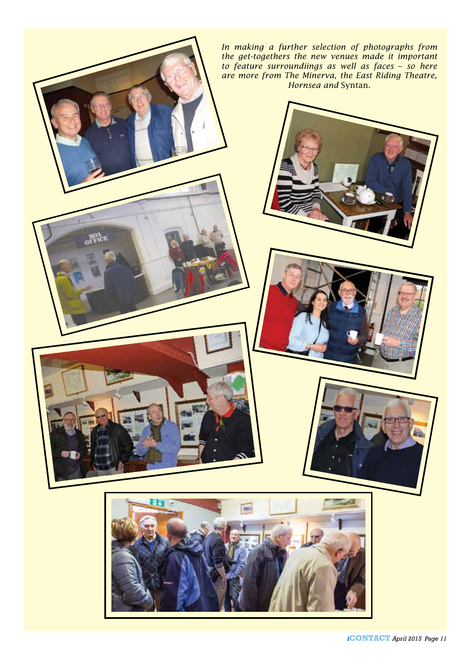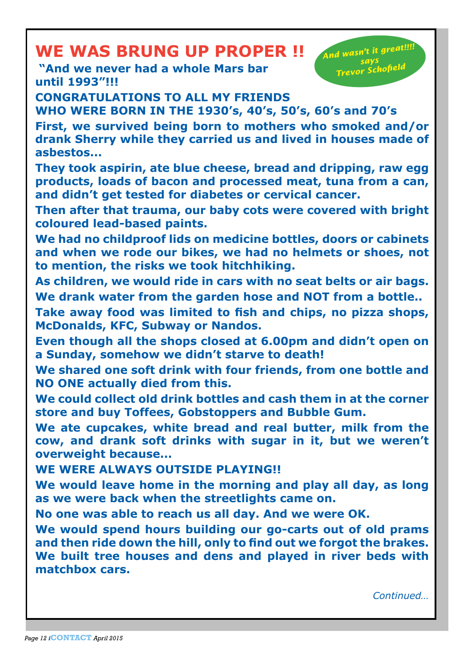# **WE WAS BRUNG UP PROPER !!**

 **"And we never had a whole Mars bar until 1993"!!!**

*And wasn't it great!!!! says Trevor Schofield*

**CONGRATULATIONS TO ALL MY FRIENDS** 

**WHO WERE BORN IN THE 1930's, 40's, 50's, 60's and 70's**

**First, we survived being born to mothers who smoked and/or drank Sherry while they carried us and lived in houses made of asbestos...**

**They took aspirin, ate blue cheese, bread and dripping, raw egg products, loads of bacon and processed meat, tuna from a can, and didn't get tested for diabetes or cervical cancer.**

**Then after that trauma, our baby cots were covered with bright coloured lead-based paints.**

**We had no childproof lids on medicine bottles, doors or cabinets and when we rode our bikes, we had no helmets or shoes, not to mention, the risks we took hitchhiking.**

**As children, we would ride in cars with no seat belts or air bags. We drank water from the garden hose and NOT from a bottle..**

**Take away food was limited to fish and chips, no pizza shops, McDonalds, KFC, Subway or Nandos.**

**Even though all the shops closed at 6.00pm and didn't open on a Sunday, somehow we didn't starve to death!**

**We shared one soft drink with four friends, from one bottle and NO ONE actually died from this.**

**We could collect old drink bottles and cash them in at the corner store and buy Toffees, Gobstoppers and Bubble Gum.**

**We ate cupcakes, white bread and real butter, milk from the cow, and drank soft drinks with sugar in it, but we weren't overweight because...**

**WE WERE ALWAYS OUTSIDE PLAYING!!**

**We would leave home in the morning and play all day, as long as we were back when the streetlights came on.**

**No one was able to reach us all day. And we were OK.**

**We would spend hours building our go-carts out of old prams and then ride down the hill, only to find out we forgot the brakes. We built tree houses and dens and played in river beds with matchbox cars.**

*Continued…*